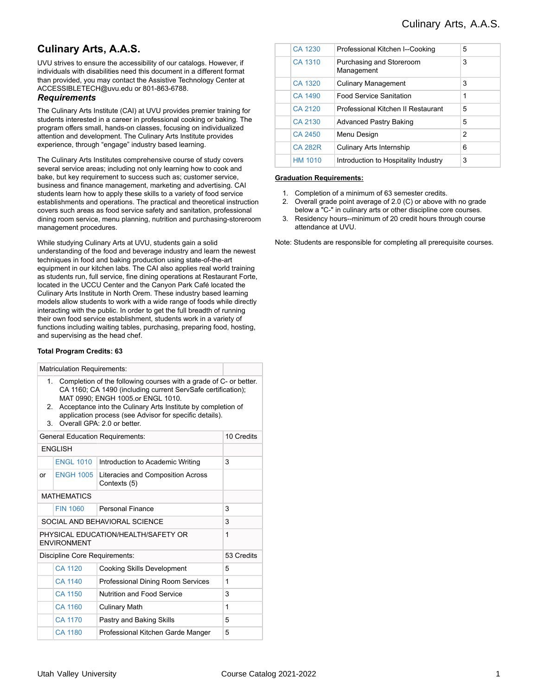# **Culinary Arts, A.A.S.**

UVU strives to ensure the accessibility of our catalogs. However, if individuals with disabilities need this document in a different format than provided, you may contact the Assistive Technology Center at ACCESSIBLETECH@uvu.edu or 801-863-6788.

#### *Requirements*

The Culinary Arts Institute (CAI) at UVU provides premier training for students interested in a career in professional cooking or baking. The program offers small, hands-on classes, focusing on individualized attention and development. The Culinary Arts Institute provides experience, through "engage" industry based learning.

The Culinary Arts Institutes comprehensive course of study covers several service areas; including not only learning how to cook and bake, but key requirement to success such as; customer service, business and finance management, marketing and advertising. CAI students learn how to apply these skills to a variety of food service establishments and operations. The practical and theoretical instruction covers such areas as food service safety and sanitation, professional dining room service, menu planning, nutrition and purchasing-storeroom management procedures.

While studying Culinary Arts at UVU, students gain a solid understanding of the food and beverage industry and learn the newest techniques in food and baking production using state-of-the-art equipment in our kitchen labs. The CAI also applies real world training as students run, full service, fine dining operations at Restaurant Forte, located in the UCCU Center and the Canyon Park Café located the Culinary Arts Institute in North Orem. These industry based learning models allow students to work with a wide range of foods while directly interacting with the public. In order to get the full breadth of running their own food service establishment, students work in a variety of functions including waiting tables, purchasing, preparing food, hosting, and supervising as the head chef.

#### **Total Program Credits: 63**

|                                                           | <b>Matriculation Requirements:</b>                                                                                                                                     |                                                   |             |  |  |  |
|-----------------------------------------------------------|------------------------------------------------------------------------------------------------------------------------------------------------------------------------|---------------------------------------------------|-------------|--|--|--|
| $\mathbf{1}$ .                                            | Completion of the following courses with a grade of C- or better.<br>CA 1160; CA 1490 (including current ServSafe certification);<br>MAT 0990: ENGH 1005.or ENGL 1010. |                                                   |             |  |  |  |
| 2.<br>3.                                                  | Acceptance into the Culinary Arts Institute by completion of<br>application process (see Advisor for specific details).<br>Overall GPA: 2.0 or better                  |                                                   |             |  |  |  |
|                                                           |                                                                                                                                                                        | <b>General Education Requirements:</b>            | 10 Credits  |  |  |  |
|                                                           | <b>ENGLISH</b>                                                                                                                                                         |                                                   |             |  |  |  |
|                                                           | <b>FNGI 1010</b>                                                                                                                                                       | Introduction to Academic Writing                  | 3           |  |  |  |
| or                                                        | <b>ENGH 1005</b>                                                                                                                                                       | Literacies and Composition Across<br>Contexts (5) |             |  |  |  |
| <b>MATHEMATICS</b>                                        |                                                                                                                                                                        |                                                   |             |  |  |  |
|                                                           | <b>FIN 1060</b>                                                                                                                                                        | Personal Finance                                  | 3           |  |  |  |
| SOCIAL AND BEHAVIORAL SCIENCE                             | 3                                                                                                                                                                      |                                                   |             |  |  |  |
| PHYSICAL FDUCATION/HEALTH/SAFFTY OR<br><b>ENVIRONMENT</b> | $\mathbf 1$                                                                                                                                                            |                                                   |             |  |  |  |
| Discipline Core Requirements:                             | 53 Credits                                                                                                                                                             |                                                   |             |  |  |  |
|                                                           | CA 1120                                                                                                                                                                | <b>Cooking Skills Development</b>                 | 5           |  |  |  |
|                                                           | CA 1140                                                                                                                                                                | Professional Dining Room Services                 | 1           |  |  |  |
|                                                           | CA 1150                                                                                                                                                                | Nutrition and Food Service                        | 3           |  |  |  |
|                                                           | CA 1160                                                                                                                                                                | <b>Culinary Math</b>                              | $\mathbf 1$ |  |  |  |
|                                                           | CA 1170                                                                                                                                                                | Pastry and Baking Skills                          | 5           |  |  |  |
|                                                           | CA 1180                                                                                                                                                                | Professional Kitchen Garde Manger                 | 5           |  |  |  |
|                                                           |                                                                                                                                                                        |                                                   |             |  |  |  |

| CA 1230        | Professional Kitchen I--Cooking        | 5              |  |
|----------------|----------------------------------------|----------------|--|
| CA 1310        | Purchasing and Storeroom<br>Management | 3              |  |
| CA 1320        | <b>Culinary Management</b>             | 3              |  |
| CA 1490        | <b>Food Service Sanitation</b>         | 1              |  |
| CA 2120        | Professional Kitchen II Restaurant     | 5              |  |
| CA 2130        | <b>Advanced Pastry Baking</b>          | 5              |  |
| CA 2450        | Menu Design                            | $\overline{2}$ |  |
| <b>CA 282R</b> | Culinary Arts Internship               | 6              |  |
| <b>HM 1010</b> | Introduction to Hospitality Industry   | 3              |  |

#### **Graduation Requirements:**

- 1. Completion of a minimum of 63 semester credits.
- 2. Overall grade point average of 2.0 (C) or above with no grade below a "C-" in culinary arts or other discipline core courses.
- 3. Residency hours--minimum of 20 credit hours through course attendance at UVU.

Note: Students are responsible for completing all prerequisite courses.